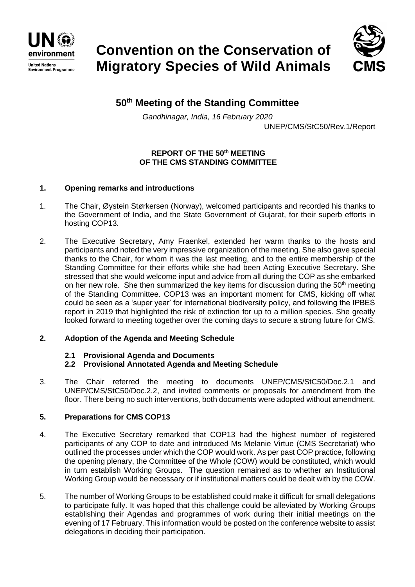

**Environment Programme** 

# **Convention on the Conservation of Migratory Species of Wild Animals**



## **50th Meeting of the Standing Committee**

*Gandhinagar, India, 16 February 2020*

UNEP/CMS/StC50/Rev.1/Report

## **REPORT OF THE 50th MEETING OF THE CMS STANDING COMMITTEE**

## **1. Opening remarks and introductions**

- 1. The Chair, Øystein Størkersen (Norway), welcomed participants and recorded his thanks to the Government of India, and the State Government of Gujarat, for their superb efforts in hosting COP13.
- 2. The Executive Secretary, Amy Fraenkel, extended her warm thanks to the hosts and participants and noted the very impressive organization of the meeting. She also gave special thanks to the Chair, for whom it was the last meeting, and to the entire membership of the Standing Committee for their efforts while she had been Acting Executive Secretary. She stressed that she would welcome input and advice from all during the COP as she embarked on her new role. She then summarized the key items for discussion during the  $50<sup>th</sup>$  meeting of the Standing Committee. COP13 was an important moment for CMS, kicking off what could be seen as a 'super year' for international biodiversity policy, and following the IPBES report in 2019 that highlighted the risk of extinction for up to a million species. She greatly looked forward to meeting together over the coming days to secure a strong future for CMS.

## **2. Adoption of the Agenda and Meeting Schedule**

## **2.1 Provisional Agenda and Documents**

- **2.2 Provisional Annotated Agenda and Meeting Schedule**
- 3. The Chair referred the meeting to documents UNEP/CMS/StC50/Doc.2.1 and UNEP/CMS/StC50/Doc.2.2, and invited comments or proposals for amendment from the floor. There being no such interventions, both documents were adopted without amendment.

#### **5. Preparations for CMS COP13**

- 4. The Executive Secretary remarked that COP13 had the highest number of registered participants of any COP to date and introduced Ms Melanie Virtue (CMS Secretariat) who outlined the processes under which the COP would work. As per past COP practice, following the opening plenary, the Committee of the Whole (COW) would be constituted, which would in turn establish Working Groups. The question remained as to whether an Institutional Working Group would be necessary or if institutional matters could be dealt with by the COW.
- 5. The number of Working Groups to be established could make it difficult for small delegations to participate fully. It was hoped that this challenge could be alleviated by Working Groups establishing their Agendas and programmes of work during their initial meetings on the evening of 17 February. This information would be posted on the conference website to assist delegations in deciding their participation.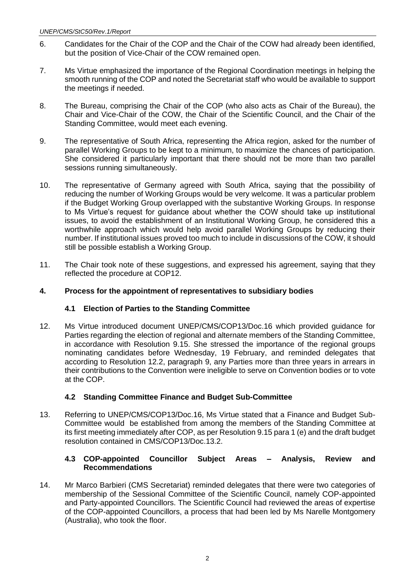- 6. Candidates for the Chair of the COP and the Chair of the COW had already been identified, but the position of Vice-Chair of the COW remained open.
- 7. Ms Virtue emphasized the importance of the Regional Coordination meetings in helping the smooth running of the COP and noted the Secretariat staff who would be available to support the meetings if needed.
- 8. The Bureau, comprising the Chair of the COP (who also acts as Chair of the Bureau), the Chair and Vice-Chair of the COW, the Chair of the Scientific Council, and the Chair of the Standing Committee, would meet each evening.
- 9. The representative of South Africa, representing the Africa region, asked for the number of parallel Working Groups to be kept to a minimum, to maximize the chances of participation. She considered it particularly important that there should not be more than two parallel sessions running simultaneously.
- 10. The representative of Germany agreed with South Africa, saying that the possibility of reducing the number of Working Groups would be very welcome. It was a particular problem if the Budget Working Group overlapped with the substantive Working Groups. In response to Ms Virtue's request for guidance about whether the COW should take up institutional issues, to avoid the establishment of an Institutional Working Group, he considered this a worthwhile approach which would help avoid parallel Working Groups by reducing their number. If institutional issues proved too much to include in discussions of the COW, it should still be possible establish a Working Group.
- 11. The Chair took note of these suggestions, and expressed his agreement, saying that they reflected the procedure at COP12.

## **4. Process for the appointment of representatives to subsidiary bodies**

## **4.1 Election of Parties to the Standing Committee**

12. Ms Virtue introduced document UNEP/CMS/COP13/Doc.16 which provided guidance for Parties regarding the election of regional and alternate members of the Standing Committee, in accordance with Resolution 9.15. She stressed the importance of the regional groups nominating candidates before Wednesday, 19 February, and reminded delegates that according to Resolution 12.2, paragraph 9, any Parties more than three years in arrears in their contributions to the Convention were ineligible to serve on Convention bodies or to vote at the COP.

#### **4.2 Standing Committee Finance and Budget Sub-Committee**

13. Referring to UNEP/CMS/COP13/Doc.16, Ms Virtue stated that a Finance and Budget Sub-Committee would be established from among the members of the Standing Committee at its first meeting immediately after COP, as per Resolution 9.15 para 1 (e) and the draft budget resolution contained in CMS/COP13/Doc.13.2.

#### **4.3 COP-appointed Councillor Subject Areas – Analysis, Review and Recommendations**

14. Mr Marco Barbieri (CMS Secretariat) reminded delegates that there were two categories of membership of the Sessional Committee of the Scientific Council, namely COP-appointed and Party-appointed Councillors. The Scientific Council had reviewed the areas of expertise of the COP-appointed Councillors, a process that had been led by Ms Narelle Montgomery (Australia), who took the floor.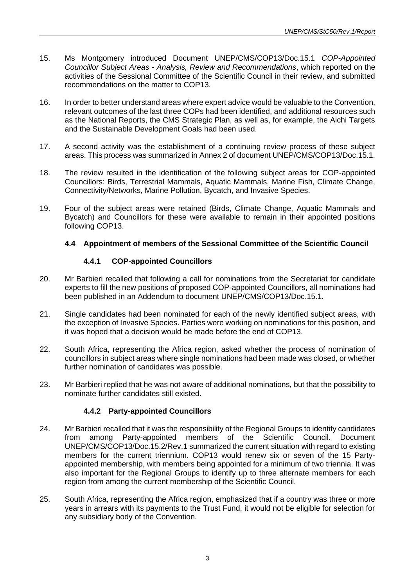- 15. Ms Montgomery introduced Document UNEP/CMS/COP13/Doc.15.1 *COP-Appointed Councillor Subject Areas - Analysis, Review and Recommendations*, which reported on the activities of the Sessional Committee of the Scientific Council in their review, and submitted recommendations on the matter to COP13.
- 16. In order to better understand areas where expert advice would be valuable to the Convention, relevant outcomes of the last three COPs had been identified, and additional resources such as the National Reports, the CMS Strategic Plan, as well as, for example, the Aichi Targets and the Sustainable Development Goals had been used.
- 17. A second activity was the establishment of a continuing review process of these subject areas. This process was summarized in Annex 2 of document UNEP/CMS/COP13/Doc.15.1.
- 18. The review resulted in the identification of the following subject areas for COP-appointed Councillors: Birds, Terrestrial Mammals, Aquatic Mammals, Marine Fish, Climate Change, Connectivity/Networks, Marine Pollution, Bycatch, and Invasive Species.
- 19. Four of the subject areas were retained (Birds, Climate Change, Aquatic Mammals and Bycatch) and Councillors for these were available to remain in their appointed positions following COP13.

## **4.4 Appointment of members of the Sessional Committee of the Scientific Council**

## **4.4.1 COP-appointed Councillors**

- 20. Mr Barbieri recalled that following a call for nominations from the Secretariat for candidate experts to fill the new positions of proposed COP-appointed Councillors, all nominations had been published in an Addendum to document UNEP/CMS/COP13/Doc.15.1.
- 21. Single candidates had been nominated for each of the newly identified subject areas, with the exception of Invasive Species. Parties were working on nominations for this position, and it was hoped that a decision would be made before the end of COP13.
- 22. South Africa, representing the Africa region, asked whether the process of nomination of councillors in subject areas where single nominations had been made was closed, or whether further nomination of candidates was possible.
- 23. Mr Barbieri replied that he was not aware of additional nominations, but that the possibility to nominate further candidates still existed.

## **4.4.2 Party-appointed Councillors**

- 24. Mr Barbieri recalled that it was the responsibility of the Regional Groups to identify candidates from among Party-appointed members of the Scientific Council. Document UNEP/CMS/COP13/Doc.15.2/Rev.1 summarized the current situation with regard to existing members for the current triennium. COP13 would renew six or seven of the 15 Partyappointed membership, with members being appointed for a minimum of two triennia. It was also important for the Regional Groups to identify up to three alternate members for each region from among the current membership of the Scientific Council.
- 25. South Africa, representing the Africa region, emphasized that if a country was three or more years in arrears with its payments to the Trust Fund, it would not be eligible for selection for any subsidiary body of the Convention.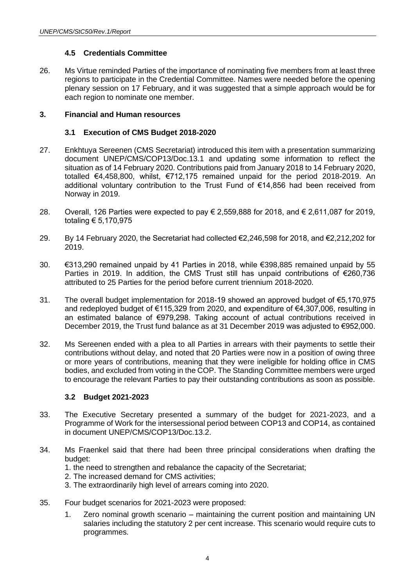## **4.5 Credentials Committee**

26. Ms Virtue reminded Parties of the importance of nominating five members from at least three regions to participate in the Credential Committee. Names were needed before the opening plenary session on 17 February, and it was suggested that a simple approach would be for each region to nominate one member.

#### **3. Financial and Human resources**

#### **3.1 Execution of CMS Budget 2018-2020**

- 27. Enkhtuya Sereenen (CMS Secretariat) introduced this item with a presentation summarizing document UNEP/CMS/COP13/Doc.13.1 and updating some information to reflect the situation as of 14 February 2020. Contributions paid from January 2018 to 14 February 2020, totalled €4,458,800, whilst, €712,175 remained unpaid for the period 2018-2019. An additional voluntary contribution to the Trust Fund of €14,856 had been received from Norway in 2019.
- 28. Overall, 126 Parties were expected to pay € 2,559,888 for 2018, and € 2,611,087 for 2019, totaling € 5,170,975
- 29. By 14 February 2020, the Secretariat had collected €2,246,598 for 2018, and €2,212,202 for 2019.
- 30. €313,290 remained unpaid by 41 Parties in 2018, while €398,885 remained unpaid by 55 Parties in 2019. In addition, the CMS Trust still has unpaid contributions of €260,736 attributed to 25 Parties for the period before current triennium 2018-2020.
- 31. The overall budget implementation for 2018-19 showed an approved budget of €5,170,975 and redeployed budget of €115,329 from 2020, and expenditure of €4,307,006, resulting in an estimated balance of €979,298. Taking account of actual contributions received in December 2019, the Trust fund balance as at 31 December 2019 was adjusted to €952,000.
- 32. Ms Sereenen ended with a plea to all Parties in arrears with their payments to settle their contributions without delay, and noted that 20 Parties were now in a position of owing three or more years of contributions, meaning that they were ineligible for holding office in CMS bodies, and excluded from voting in the COP. The Standing Committee members were urged to encourage the relevant Parties to pay their outstanding contributions as soon as possible.

#### **3.2 Budget 2021-2023**

- 33. The Executive Secretary presented a summary of the budget for 2021-2023, and a Programme of Work for the intersessional period between COP13 and COP14, as contained in document UNEP/CMS/COP13/Doc.13.2.
- 34. Ms Fraenkel said that there had been three principal considerations when drafting the budget:
	- 1. the need to strengthen and rebalance the capacity of the Secretariat;
	- 2. The increased demand for CMS activities;
	- 3. The extraordinarily high level of arrears coming into 2020.
- 35. Four budget scenarios for 2021-2023 were proposed:
	- 1. Zero nominal growth scenario maintaining the current position and maintaining UN salaries including the statutory 2 per cent increase. This scenario would require cuts to programmes.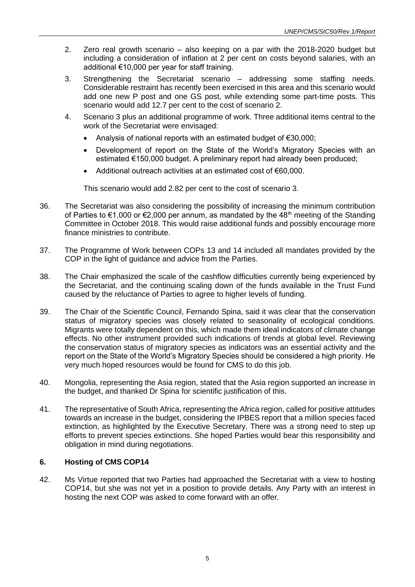- 2. Zero real growth scenario also keeping on a par with the 2018-2020 budget but including a consideration of inflation at 2 per cent on costs beyond salaries, with an additional €10,000 per year for staff training.
- 3. Strengthening the Secretariat scenario addressing some staffing needs. Considerable restraint has recently been exercised in this area and this scenario would add one new P post and one GS post, while extending some part-time posts. This scenario would add 12.7 per cent to the cost of scenario 2.
- 4. Scenario 3 plus an additional programme of work. Three additional items central to the work of the Secretariat were envisaged:
	- Analysis of national reports with an estimated budget of €30,000;
	- Development of report on the State of the World's Migratory Species with an estimated €150,000 budget. A preliminary report had already been produced;
	- Additional outreach activities at an estimated cost of €60,000.

This scenario would add 2.82 per cent to the cost of scenario 3.

- 36. The Secretariat was also considering the possibility of increasing the minimum contribution of Parties to  $\epsilon$ 1,000 or  $\epsilon$ 2,000 per annum, as mandated by the 48<sup>th</sup> meeting of the Standing Committee in October 2018. This would raise additional funds and possibly encourage more finance ministries to contribute.
- 37. The Programme of Work between COPs 13 and 14 included all mandates provided by the COP in the light of guidance and advice from the Parties.
- 38. The Chair emphasized the scale of the cashflow difficulties currently being experienced by the Secretariat, and the continuing scaling down of the funds available in the Trust Fund caused by the reluctance of Parties to agree to higher levels of funding.
- 39. The Chair of the Scientific Council, Fernando Spina, said it was clear that the conservation status of migratory species was closely related to seasonality of ecological conditions. Migrants were totally dependent on this, which made them ideal indicators of climate change effects. No other instrument provided such indications of trends at global level. Reviewing the conservation status of migratory species as indicators was an essential activity and the report on the State of the World's Migratory Species should be considered a high priority. He very much hoped resources would be found for CMS to do this job.
- 40. Mongolia, representing the Asia region, stated that the Asia region supported an increase in the budget, and thanked Dr Spina for scientific justification of this.
- 41. The representative of South Africa, representing the Africa region, called for positive attitudes towards an increase in the budget, considering the IPBES report that a million species faced extinction, as highlighted by the Executive Secretary. There was a strong need to step up efforts to prevent species extinctions. She hoped Parties would bear this responsibility and obligation in mind during negotiations.

#### **6. Hosting of CMS COP14**

42. Ms Virtue reported that two Parties had approached the Secretariat with a view to hosting COP14, but she was not yet in a position to provide details. Any Party with an interest in hosting the next COP was asked to come forward with an offer.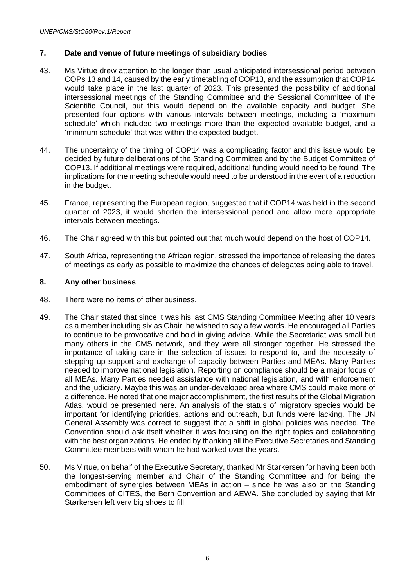#### **7. Date and venue of future meetings of subsidiary bodies**

- 43. Ms Virtue drew attention to the longer than usual anticipated intersessional period between COPs 13 and 14, caused by the early timetabling of COP13, and the assumption that COP14 would take place in the last quarter of 2023. This presented the possibility of additional intersessional meetings of the Standing Committee and the Sessional Committee of the Scientific Council, but this would depend on the available capacity and budget. She presented four options with various intervals between meetings, including a 'maximum schedule' which included two meetings more than the expected available budget, and a 'minimum schedule' that was within the expected budget.
- 44. The uncertainty of the timing of COP14 was a complicating factor and this issue would be decided by future deliberations of the Standing Committee and by the Budget Committee of COP13. If additional meetings were required, additional funding would need to be found. The implications for the meeting schedule would need to be understood in the event of a reduction in the budget.
- 45. France, representing the European region, suggested that if COP14 was held in the second quarter of 2023, it would shorten the intersessional period and allow more appropriate intervals between meetings.
- 46. The Chair agreed with this but pointed out that much would depend on the host of COP14.
- 47. South Africa, representing the African region, stressed the importance of releasing the dates of meetings as early as possible to maximize the chances of delegates being able to travel.

#### **8. Any other business**

- 48. There were no items of other business.
- 49. The Chair stated that since it was his last CMS Standing Committee Meeting after 10 years as a member including six as Chair, he wished to say a few words. He encouraged all Parties to continue to be provocative and bold in giving advice. While the Secretariat was small but many others in the CMS network, and they were all stronger together. He stressed the importance of taking care in the selection of issues to respond to, and the necessity of stepping up support and exchange of capacity between Parties and MEAs. Many Parties needed to improve national legislation. Reporting on compliance should be a major focus of all MEAs. Many Parties needed assistance with national legislation, and with enforcement and the judiciary. Maybe this was an under-developed area where CMS could make more of a difference. He noted that one major accomplishment, the first results of the Global Migration Atlas, would be presented here. An analysis of the status of migratory species would be important for identifying priorities, actions and outreach, but funds were lacking. The UN General Assembly was correct to suggest that a shift in global policies was needed. The Convention should ask itself whether it was focusing on the right topics and collaborating with the best organizations. He ended by thanking all the Executive Secretaries and Standing Committee members with whom he had worked over the years.
- 50. Ms Virtue, on behalf of the Executive Secretary, thanked Mr Størkersen for having been both the longest-serving member and Chair of the Standing Committee and for being the embodiment of synergies between MEAs in action – since he was also on the Standing Committees of CITES, the Bern Convention and AEWA. She concluded by saying that Mr Størkersen left very big shoes to fill.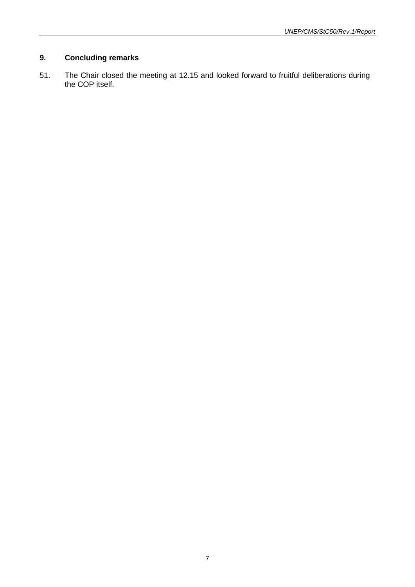## **9. Concluding remarks**

51. The Chair closed the meeting at 12.15 and looked forward to fruitful deliberations during the COP itself.